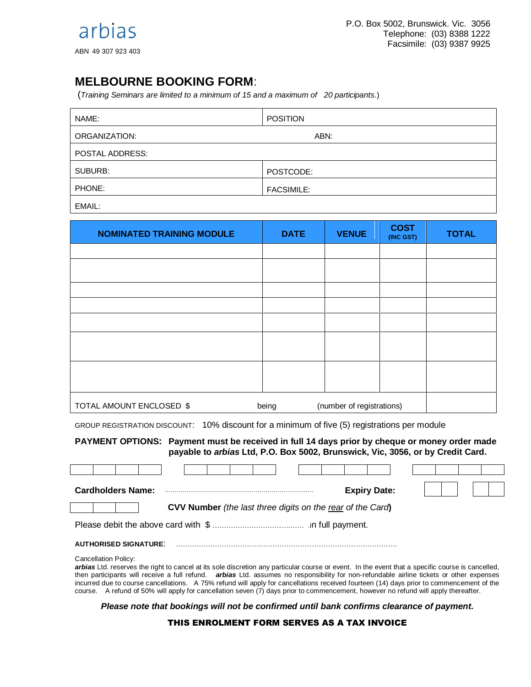## **MELBOURNE BOOKING FORM**:

(*Training Seminars are limited to a minimum of 15 and a maximum of 20 participants*.)

| NAME:           | <b>POSITION</b>   |  |  |  |  |
|-----------------|-------------------|--|--|--|--|
| ORGANIZATION:   | ABN:              |  |  |  |  |
| POSTAL ADDRESS: |                   |  |  |  |  |
| SUBURB:         | POSTCODE:         |  |  |  |  |
| PHONE:          | <b>FACSIMILE:</b> |  |  |  |  |
|                 |                   |  |  |  |  |

EMAIL:

| <b>NOMINATED TRAINING MODULE</b>  | <b>DATE</b>               | <b>VENUE</b> | <b>COST</b><br>(INC GST) | <b>TOTAL</b> |
|-----------------------------------|---------------------------|--------------|--------------------------|--------------|
|                                   |                           |              |                          |              |
|                                   |                           |              |                          |              |
|                                   |                           |              |                          |              |
|                                   |                           |              |                          |              |
|                                   |                           |              |                          |              |
|                                   |                           |              |                          |              |
|                                   |                           |              |                          |              |
| TOTAL AMOUNT ENCLOSED \$<br>being | (number of registrations) |              |                          |              |

GROUP REGISTRATION DISCOUNT: 10% discount for a minimum of five (5) registrations per module

**PAYMENT OPTIONS: Payment must be received in full 14 days prior by cheque or money order made payable to** *arbias* **Ltd, P.O. Box 5002, Brunswick, Vic, 3056, or by Credit Card.** 

| <b>Cardholders Name:</b>                                          |  |  |  |  |  |  |  |  | <b>Expiry Date:</b> |  |  |  |
|-------------------------------------------------------------------|--|--|--|--|--|--|--|--|---------------------|--|--|--|
| <b>CVV Number</b> (the last three digits on the rear of the Card) |  |  |  |  |  |  |  |  |                     |  |  |  |
|                                                                   |  |  |  |  |  |  |  |  |                     |  |  |  |
| <b>AUTHORISED SIGNATURE:</b>                                      |  |  |  |  |  |  |  |  |                     |  |  |  |

Cancellation Policy:

*arbias* Ltd. reserves the right to cancel at its sole discretion any particular course or event. In the event that a specific course is cancelled, then participants will receive a full refund. *arbias* Ltd. assumes no responsibility for non-refundable airline tickets or other expenses incurred due to course cancellations. A 75% refund will apply for cancellations received fourteen (14) days prior to commencement of the course. A refund of 50% will apply for cancellation seven (7) days prior to commencement, however no refund will apply thereafter.

*Please note that bookings will not be confirmed until bank confirms clearance of payment.*

## THIS ENROLMENT FORM SERVES AS A TAX INVOICE